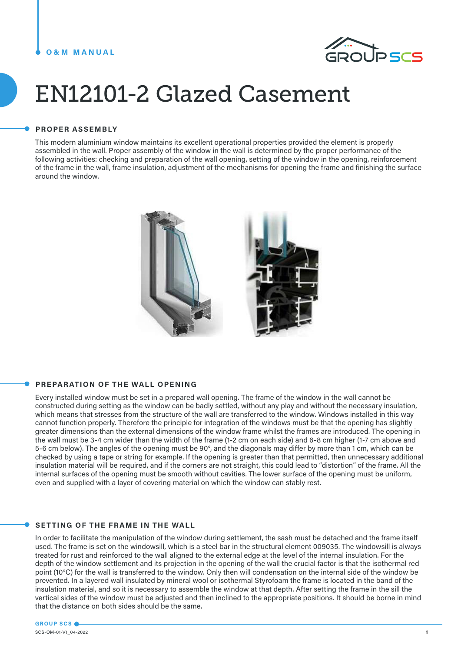#### **O&M MANUAL**



# EN12101-2 Glazed Casement

#### **PROPER ASSEMBLY**

This modern aluminium window maintains its excellent operational properties provided the element is properly assembled in the wall. Proper assembly of the window in the wall is determined by the proper performance of the following activities: checking and preparation of the wall opening, setting of the window in the opening, reinforcement of the frame in the wall, frame insulation, adjustment of the mechanisms for opening the frame and finishing the surface around the window.



#### **PREPARATION OF THE WALL OPENING**

Every installed window must be set in a prepared wall opening. The frame of the window in the wall cannot be constructed during setting as the window can be badly settled, without any play and without the necessary insulation, which means that stresses from the structure of the wall are transferred to the window. Windows installed in this way cannot function properly. Therefore the principle for integration of the windows must be that the opening has slightly greater dimensions than the external dimensions of the window frame whilst the frames are introduced. The opening in the wall must be 3-4 cm wider than the width of the frame (1-2 cm on each side) and 6-8 cm higher (1-7 cm above and 5-6 cm below). The angles of the opening must be 90°, and the diagonals may differ by more than 1 cm, which can be checked by using a tape or string for example. If the opening is greater than that permitted, then unnecessary additional insulation material will be required, and if the corners are not straight, this could lead to "distortion" of the frame. All the internal surfaces of the opening must be smooth without cavities. The lower surface of the opening must be uniform, even and supplied with a layer of covering material on which the window can stably rest.

#### **SETTING OF THE FRAME IN THE WALL**

In order to facilitate the manipulation of the window during settlement, the sash must be detached and the frame itself used. The frame is set on the windowsill, which is a steel bar in the structural element 009035. The windowsill is always treated for rust and reinforced to the wall aligned to the external edge at the level of the internal insulation. For the depth of the window settlement and its projection in the opening of the wall the crucial factor is that the isothermal red point (10°C) for the wall is transferred to the window. Only then will condensation on the internal side of the window be prevented. In a layered wall insulated by mineral wool or isothermal Styrofoam the frame is located in the band of the insulation material, and so it is necessary to assemble the window at that depth. After setting the frame in the sill the vertical sides of the window must be adjusted and then inclined to the appropriate positions. It should be borne in mind that the distance on both sides should be the same.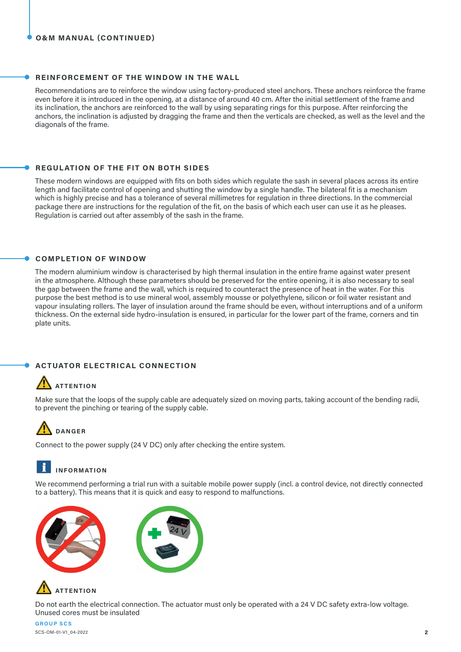#### **REINFORCEMENT OF THE WINDOW IN THE WALL**

Recommendations are to reinforce the window using factory-produced steel anchors. These anchors reinforce the frame even before it is introduced in the opening, at a distance of around 40 cm. After the initial settlement of the frame and its inclination, the anchors are reinforced to the wall by using separating rings for this purpose. After reinforcing the anchors, the inclination is adjusted by dragging the frame and then the verticals are checked, as well as the level and the diagonals of the frame.

#### **REGULATION OF THE FIT ON BOTH SIDES**

These modern windows are equipped with fits on both sides which regulate the sash in several places across its entire length and facilitate control of opening and shutting the window by a single handle. The bilateral fit is a mechanism which is highly precise and has a tolerance of several millimetres for regulation in three directions. In the commercial package there are instructions for the regulation of the fit, on the basis of which each user can use it as he pleases. Regulation is carried out after assembly of the sash in the frame.

#### **COMPLETION OF WINDOW**

The modern aluminium window is characterised by high thermal insulation in the entire frame against water present in the atmosphere. Although these parameters should be preserved for the entire opening, it is also necessary to seal the gap between the frame and the wall, which is required to counteract the presence of heat in the water. For this purpose the best method is to use mineral wool, assembly mousse or polyethylene, silicon or foil water resistant and vapour insulating rollers. The layer of insulation around the frame should be even, without interruptions and of a uniform thickness. On the external side hydro-insulation is ensured, in particular for the lower part of the frame, corners and tin plate units.

#### **ACTUATOR ELECTRICAL CONNECTION**

## **ATTENTION**

Make sure that the loops of the supply cable are adequately sized on moving parts, taking account of the bending radii, to prevent the pinching or tearing of the supply cable.

# **DANGER**

Connect to the power supply (24 V DC) only after checking the entire system.

### **INFORMATION**

We recommend performing a trial run with a suitable mobile power supply (incl. a control device, not directly connected to a battery). This means that it is quick and easy to respond to malfunctions.







Do not earth the electrical connection. The actuator must only be operated with a 24 V DC safety extra-low voltage. Unused cores must be insulated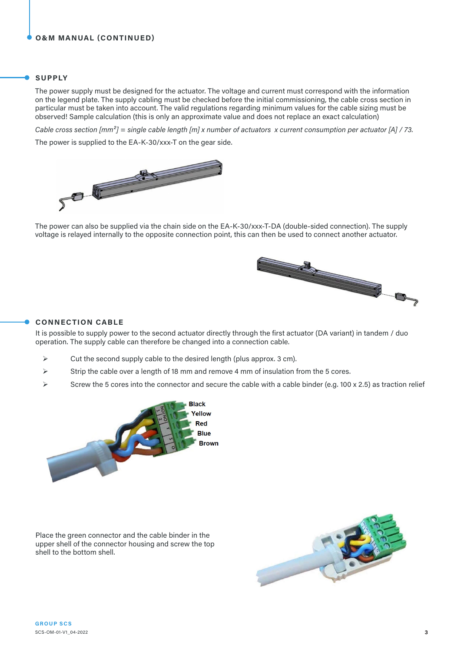#### **SUPPLY**

The power supply must be designed for the actuator. The voltage and current must correspond with the information on the legend plate. The supply cabling must be checked before the initial commissioning, the cable cross section in particular must be taken into account. The valid regulations regarding minimum values for the cable sizing must be observed! Sample calculation (this is only an approximate value and does not replace an exact calculation)

*Cable cross section [mm²] = single cable length [m] x number of actuators x current consumption per actuator [A] / 73.*

The power is supplied to the EA-K-30/xxx-T on the gear side.



The power can also be supplied via the chain side on the EA-K-30/xxx-T-DA (double-sided connection). The supply voltage is relayed internally to the opposite connection point, this can then be used to connect another actuator.



#### **CONNECTION CABLE**

It is possible to supply power to the second actuator directly through the first actuator (DA variant) in tandem / duo operation. The supply cable can therefore be changed into a connection cable.

- $\triangleright$  Cut the second supply cable to the desired length (plus approx. 3 cm).
- $\triangleright$  Strip the cable over a length of 18 mm and remove 4 mm of insulation from the 5 cores.
- Screw the 5 cores into the connector and secure the cable with a cable binder (e.g. 100 x 2.5) as traction relief



Place the green connector and the cable binder in the upper shell of the connector housing and screw the top shell to the bottom shell.

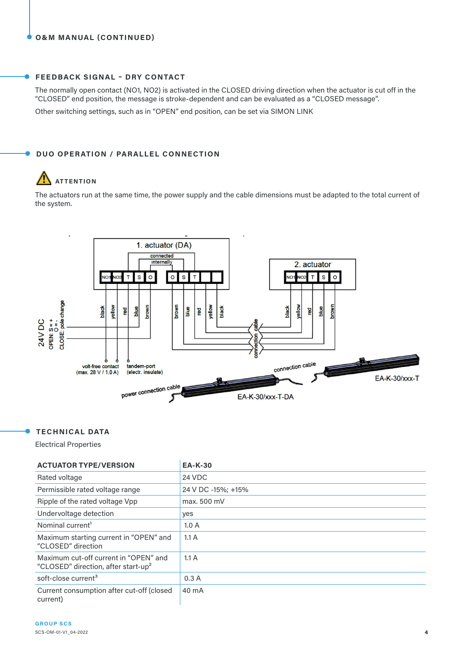#### **FEEDBACK SIGNAL – DRY CONTACT**

The normally open contact (NO1, NO2) is activated in the CLOSED driving direction when the actuator is cut off in the "CLOSED" end position, the message is stroke-dependent and can be evaluated as a "CLOSED message".

Other switching settings, such as in "OPEN" end position, can be set via SIMON LINK

#### **DUO OPERATION / PARALLEL CONNECTION**

# **ATTENTION**

The actuators run at the same time, the power supply and the cable dimensions must be adapted to the total current of the system.



#### **TECHNICAL DATA**

Electrical Properties

| <b>ACTUATOR TYPE/VERSION</b>                                                             | <b>EA-K-30</b>     |
|------------------------------------------------------------------------------------------|--------------------|
| Rated voltage                                                                            | 24 VDC             |
| Permissible rated voltage range                                                          | 24 V DC -15%; +15% |
| Ripple of the rated voltage Vpp                                                          | max, 500 mV        |
| Undervoltage detection                                                                   | yes                |
| Nominal current <sup>1</sup>                                                             | 1.0A               |
| Maximum starting current in "OPEN" and<br>"CLOSED" direction                             | 1.1A               |
| Maximum cut-off current in "OPEN" and<br>"CLOSED" direction, after start-up <sup>2</sup> | 1.1A               |
| soft-close current <sup>3</sup>                                                          | 0.3A               |
| Current consumption after cut-off (closed<br>current)                                    | 40 mA              |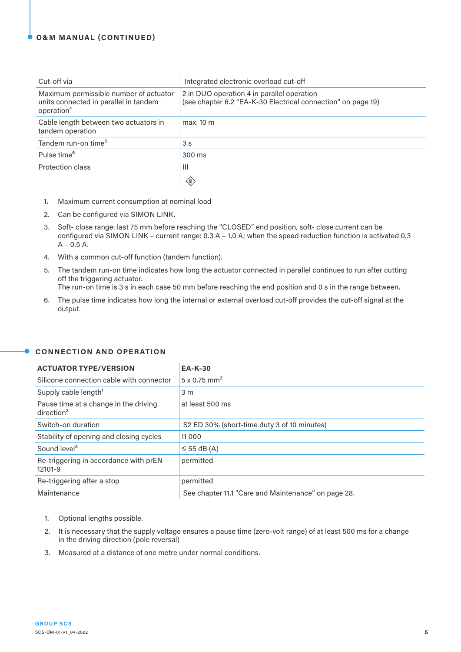#### **O&M MANUAL (CONTINUED)**

| Cut-off via                                                                                               | Integrated electronic overload cut-off                                                                     |
|-----------------------------------------------------------------------------------------------------------|------------------------------------------------------------------------------------------------------------|
| Maximum permissible number of actuator<br>units connected in parallel in tandem<br>operation <sup>4</sup> | 2 in DUO operation 4 in parallel operation<br>(see chapter 6.2 "EA-K-30 Electrical connection" on page 19) |
| Cable length between two actuators in<br>tandem operation                                                 | max. 10 m                                                                                                  |
| Tandem run-on time <sup>5</sup>                                                                           | 3 <sub>s</sub>                                                                                             |
| Pulse time <sup>6</sup>                                                                                   | 300 ms                                                                                                     |
| Protection class                                                                                          | $\mathbf{III}$                                                                                             |
|                                                                                                           | $\langle \mathbb{I} \rangle$                                                                               |

- 1. Maximum current consumption at nominal load
- 2. Can be configured via SIMON LINK.
- 3. Soft- close range: last 75 mm before reaching the "CLOSED" end position, soft- close current can be configured via SIMON LINK – current range: 0.3 A – 1,0 A; when the speed reduction function is activated 0.3  $A - 0.5 A$ .
- 4. With a common cut-off function (tandem function).
- 5. The tandem run-on time indicates how long the actuator connected in parallel continues to run after cutting off the triggering actuator.

The run-on time is 3 s in each case 50 mm before reaching the end position and 0 s in the range between.

6. The pulse time indicates how long the internal or external overload cut-off provides the cut-off signal at the output.

| <b>ACTUATOR TYPE/VERSION</b>                                    | <b>EA-K-30</b>                                      |
|-----------------------------------------------------------------|-----------------------------------------------------|
| Silicone connection cable with connector                        | $5 \times 0.75$ mm <sup>2</sup>                     |
| Supply cable length <sup>1</sup>                                | 3 <sub>m</sub>                                      |
| Pause time at a change in the driving<br>direction <sup>2</sup> | at least 500 ms                                     |
| Switch-on duration                                              | S2 ED 30% (short-time duty 3 of 10 minutes)         |
| Stability of opening and closing cycles                         | 11 0 0 0                                            |
| Sound level <sup>3</sup>                                        | $\leq$ 55 dB (A)                                    |
| Re-triggering in accordance with prEN<br>12101-9                | permitted                                           |
| Re-triggering after a stop                                      | permitted                                           |
| Maintenance                                                     | See chapter 11.1 "Care and Maintenance" on page 28. |

#### **CONNECTION AND OPERATION**

 $\bullet$ 

- 1. Optional lengths possible.
- 2. It is necessary that the supply voltage ensures a pause time (zero-volt range) of at least 500 ms for a change in the driving direction (pole reversal)
- 3. Measured at a distance of one metre under normal conditions.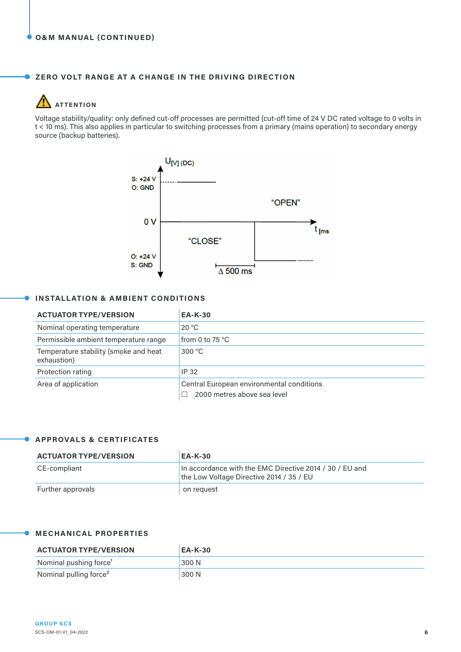#### **ZERO VOLT RANGE AT A CHANGE IN THE DRIVING DIRECTION**

#### $\sqrt{2}$ **ATTENTION**

A

Voltage stability/quality: only defined cut-off processes are permitted (cut-off time of 24 V DC rated voltage to 0 volts in t < 10 ms). This also applies in particular to switching processes from a primary (mains operation) to secondary energy source (backup batteries).



#### **INSTALLATION & AMBIENT CONDITIONS**

| <b>ACTUATOR TYPE/VERSION</b>                         | <b>EA-K-30</b>                                                           |
|------------------------------------------------------|--------------------------------------------------------------------------|
| Nominal operating temperature                        | 20 °C                                                                    |
| Permissible ambient temperature range                | from 0 to 75 $^{\circ}$ C                                                |
| Temperature stability (smoke and heat<br>exhaustion) | 300 °C                                                                   |
| Protection rating                                    | IP 32                                                                    |
| Area of application                                  | Central European environmental conditions<br>2000 metres above sea level |

#### **APPROVALS & CERTIFICATES**

 $\bullet$ 

| <b>ACTUATOR TYPE/VERSION</b> | <b>EA-K-30</b>                                                                                      |
|------------------------------|-----------------------------------------------------------------------------------------------------|
| CE-compliant                 | In accordance with the EMC Directive 2014 / 30 / EU and<br>the Low Voltage Directive 2014 / 35 / EU |
| Further approvals            | on request                                                                                          |

#### **MECHANICAL PROPERTIES**

| <b>ACTUATOR TYPE/VERSION</b>       | <b>EA-K-30</b> |
|------------------------------------|----------------|
| Nominal pushing force <sup>1</sup> | 300 N          |
| Nominal pulling force <sup>2</sup> | 300 N          |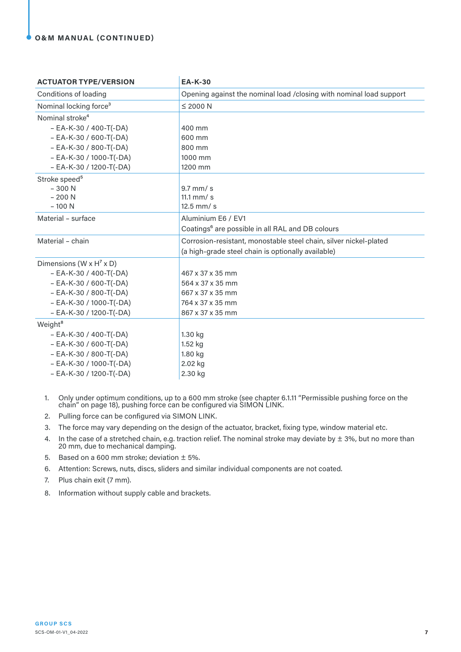#### **O&M MANUAL (CONTINUED)**

| <b>ACTUATOR TYPE/VERSION</b>                      | <b>EA-K-30</b>                                                      |
|---------------------------------------------------|---------------------------------------------------------------------|
| Conditions of loading                             | Opening against the nominal load /closing with nominal load support |
| Nominal locking force <sup>3</sup>                | $\leq$ 2000 N                                                       |
| Nominal stroke <sup>4</sup>                       |                                                                     |
| $-$ EA-K-30 / 400-T(-DA)                          | 400 mm                                                              |
| $-$ EA-K-30 / 600-T(-DA)                          | 600 mm                                                              |
| $-$ EA-K-30 / 800-T(-DA)                          | 800 mm                                                              |
| $-$ EA-K-30 / 1000-T(-DA)                         | 1000 mm                                                             |
| $-$ EA-K-30 / 1200-T(-DA)                         | 1200 mm                                                             |
| Stroke speed <sup>5</sup>                         |                                                                     |
| $-300N$                                           | $9.7$ mm/s                                                          |
| $-200N$                                           | 11.1 $mm/s$                                                         |
| $-100N$                                           | $12.5$ mm/s                                                         |
| Material - surface                                | Aluminium E6 / EV1                                                  |
|                                                   | Coatings <sup>6</sup> are possible in all RAL and DB colours        |
| Material - chain                                  | Corrosion-resistant, monostable steel chain, silver nickel-plated   |
|                                                   | (a high-grade steel chain is optionally available)                  |
| Dimensions (W $\times$ H <sup>7</sup> $\times$ D) |                                                                     |
| $-$ EA-K-30 / 400-T(-DA)                          | 467 x 37 x 35 mm                                                    |
| $-$ EA-K-30 / 600-T(-DA)                          | 564 x 37 x 35 mm                                                    |
| $-$ EA-K-30 / 800-T(-DA)                          | 667 x 37 x 35 mm                                                    |
| $-$ EA-K-30 / 1000-T(-DA)                         | 764 x 37 x 35 mm                                                    |
| - EA-K-30 / 1200-T(-DA)                           | 867 x 37 x 35 mm                                                    |
| Weight <sup>8</sup>                               |                                                                     |
| $-$ EA-K-30 / 400-T(-DA)                          | 1.30 kg                                                             |
| $-$ EA-K-30 / 600-T(-DA)                          | 1.52 kg                                                             |
| $- EA-K-30 / 800-T(-DA)$                          | 1.80 kg                                                             |
| $-$ EA-K-30 / 1000-T(-DA)                         | 2.02 kg                                                             |
| $-$ EA-K-30 / 1200-T(-DA)                         | 2.30 kg                                                             |

- 1. Only under optimum conditions, up to a 600 mm stroke (see chapter 6.1.11 "Permissible pushing force on the chain" on page 18), pushing force can be configured via SIMON LINK.
- 2. Pulling force can be configured via SIMON LINK.
- 3. The force may vary depending on the design of the actuator, bracket, fixing type, window material etc.
- 4. In the case of a stretched chain, e.g. traction relief. The nominal stroke may deviate by  $\pm$  3%, but no more than 20 mm, due to mechanical damping.
- 5. Based on a 600 mm stroke; deviation  $\pm$  5%.
- 6. Attention: Screws, nuts, discs, sliders and similar individual components are not coated.
- 7. Plus chain exit (7 mm).
- 8. Information without supply cable and brackets.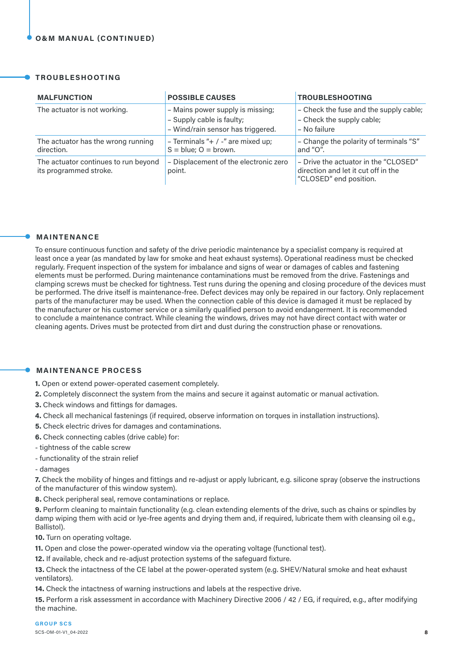#### **TROUBLESHOOTING**

| <b>MALFUNCTION</b>                                             | <b>POSSIBLE CAUSES</b>                                                                             | <b>TROUBLESHOOTING</b>                                                                                |
|----------------------------------------------------------------|----------------------------------------------------------------------------------------------------|-------------------------------------------------------------------------------------------------------|
| The actuator is not working.                                   | - Mains power supply is missing;<br>- Supply cable is faulty;<br>- Wind/rain sensor has triggered. | - Check the fuse and the supply cable;<br>- Check the supply cable;<br>- No failure                   |
| The actuator has the wrong running<br>direction.               | - Terminals "+ / -" are mixed up;<br>$S = blue$ ; $O = brown$ .                                    | - Change the polarity of terminals "S"<br>and "O".                                                    |
| The actuator continues to run beyond<br>its programmed stroke. | - Displacement of the electronic zero<br>point.                                                    | - Drive the actuator in the "CLOSED"<br>direction and let it cut off in the<br>"CLOSED" end position. |

#### **MAINTENANCE**

To ensure continuous function and safety of the drive periodic maintenance by a specialist company is required at least once a year (as mandated by law for smoke and heat exhaust systems). Operational readiness must be checked regularly. Frequent inspection of the system for imbalance and signs of wear or damages of cables and fastening elements must be performed. During maintenance contaminations must be removed from the drive. Fastenings and clamping screws must be checked for tightness. Test runs during the opening and closing procedure of the devices must be performed. The drive itself is maintenance-free. Defect devices may only be repaired in our factory. Only replacement parts of the manufacturer may be used. When the connection cable of this device is damaged it must be replaced by the manufacturer or his customer service or a similarly qualified person to avoid endangerment. It is recommended to conclude a maintenance contract. While cleaning the windows, drives may not have direct contact with water or cleaning agents. Drives must be protected from dirt and dust during the construction phase or renovations.

#### **MAINTENANCE PROCESS**

**1.** Open or extend power-operated casement completely.

- **2.** Completely disconnect the system from the mains and secure it against automatic or manual activation.
- **3.** Check windows and fittings for damages.
- **4.** Check all mechanical fastenings (if required, observe information on torques in installation instructions).
- **5.** Check electric drives for damages and contaminations.
- **6.** Check connecting cables (drive cable) for:
- tightness of the cable screw
- functionality of the strain relief
- damages

**7.** Check the mobility of hinges and fittings and re-adjust or apply lubricant, e.g. silicone spray (observe the instructions of the manufacturer of this window system).

**8.** Check peripheral seal, remove contaminations or replace.

**9.** Perform cleaning to maintain functionality (e.g. clean extending elements of the drive, such as chains or spindles by damp wiping them with acid or lye-free agents and drying them and, if required, lubricate them with cleansing oil e.g., Ballistol).

**10.** Turn on operating voltage.

**11.** Open and close the power-operated window via the operating voltage (functional test).

**12.** If available, check and re-adjust protection systems of the safeguard fixture.

**13.** Check the intactness of the CE label at the power-operated system (e.g. SHEV/Natural smoke and heat exhaust ventilators).

**14.** Check the intactness of warning instructions and labels at the respective drive.

**15.** Perform a risk assessment in accordance with Machinery Directive 2006 / 42 / EG, if required, e.g., after modifying the machine.